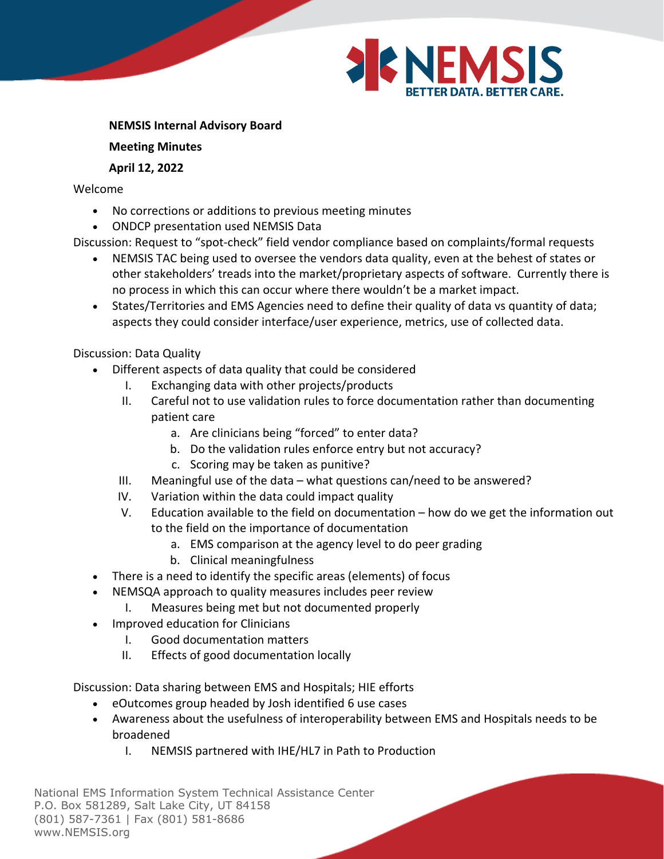

**NEMSIS Internal Advisory Board**

**Meeting Minutes**

## **April 12, 2022**

Welcome

- No corrections or additions to previous meeting minutes
- ONDCP presentation used NEMSIS Data

Discussion: Request to "spot-check" field vendor compliance based on complaints/formal requests

- NEMSIS TAC being used to oversee the vendors data quality, even at the behest of states or other stakeholders' treads into the market/proprietary aspects of software. Currently there is no process in which this can occur where there wouldn't be a market impact.
- States/Territories and EMS Agencies need to define their quality of data vs quantity of data; aspects they could consider interface/user experience, metrics, use of collected data.

Discussion: Data Quality

- Different aspects of data quality that could be considered
	- I. Exchanging data with other projects/products
	- II. Careful not to use validation rules to force documentation rather than documenting patient care
		- a. Are clinicians being "forced" to enter data?
		- b. Do the validation rules enforce entry but not accuracy?
		- c. Scoring may be taken as punitive?
	- III. Meaningful use of the data what questions can/need to be answered?
	- IV. Variation within the data could impact quality
	- V. Education available to the field on documentation how do we get the information out to the field on the importance of documentation
		- a. EMS comparison at the agency level to do peer grading
		- b. Clinical meaningfulness
- There is a need to identify the specific areas (elements) of focus
- NEMSQA approach to quality measures includes peer review
	- I. Measures being met but not documented properly
- Improved education for Clinicians
	- I. Good documentation matters
	- II. Effects of good documentation locally

Discussion: Data sharing between EMS and Hospitals; HIE efforts

- eOutcomes group headed by Josh identified 6 use cases
- Awareness about the usefulness of interoperability between EMS and Hospitals needs to be broadened
	- I. NEMSIS partnered with IHE/HL7 in Path to Production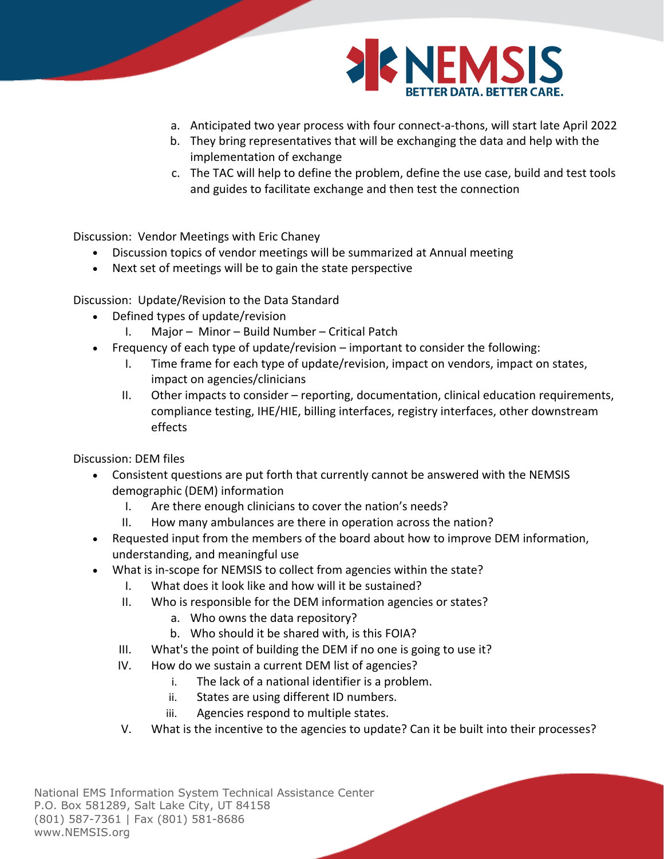

- a. Anticipated two year process with four connect-a-thons, will start late April 2022
- b. They bring representatives that will be exchanging the data and help with the implementation of exchange
- c. The TAC will help to define the problem, define the use case, build and test tools and guides to facilitate exchange and then test the connection

Discussion: Vendor Meetings with Eric Chaney

- Discussion topics of vendor meetings will be summarized at Annual meeting
- Next set of meetings will be to gain the state perspective

Discussion: Update/Revision to the Data Standard

- Defined types of update/revision
	- I. Major Minor Build Number Critical Patch
- Frequency of each type of update/revision important to consider the following:
	- I. Time frame for each type of update/revision, impact on vendors, impact on states, impact on agencies/clinicians
	- II. Other impacts to consider reporting, documentation, clinical education requirements, compliance testing, IHE/HIE, billing interfaces, registry interfaces, other downstream effects

Discussion: DEM files

- Consistent questions are put forth that currently cannot be answered with the NEMSIS demographic (DEM) information
	- I. Are there enough clinicians to cover the nation's needs?
	- II. How many ambulances are there in operation across the nation?
- Requested input from the members of the board about how to improve DEM information, understanding, and meaningful use
	- What is in-scope for NEMSIS to collect from agencies within the state?
		- I. What does it look like and how will it be sustained?
		- II. Who is responsible for the DEM information agencies or states?
			- a. Who owns the data repository?
			- b. Who should it be shared with, is this FOIA?
		- III. What's the point of building the DEM if no one is going to use it?
		- IV. How do we sustain a current DEM list of agencies?
			- i. The lack of a national identifier is a problem.
			- ii. States are using different ID numbers.
			- iii. Agencies respond to multiple states.
		- V. What is the incentive to the agencies to update? Can it be built into their processes?